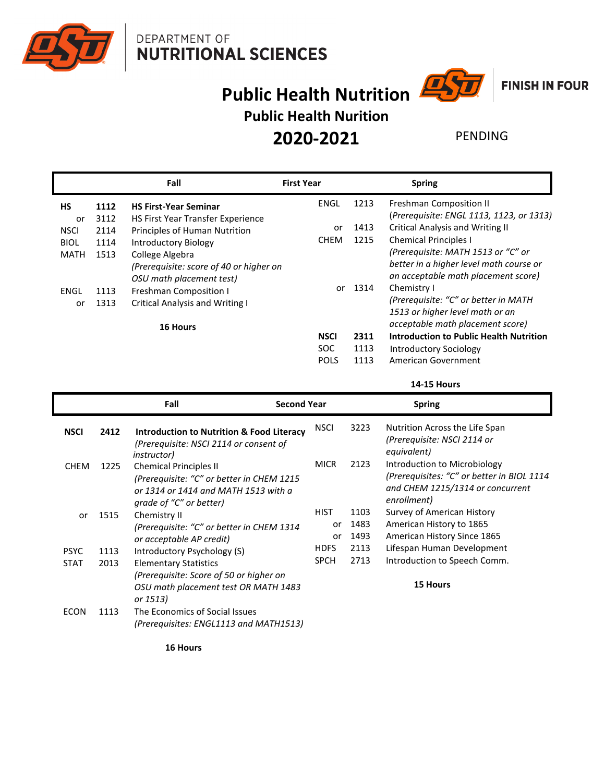



## **FINISH IN FOUR**

# **Public Health Nutrition Public Health Nurition**

**2020-2021**

### PENDING

|                   |              | Fall                                                                                   | <b>First Year</b>                        |                      | <b>Spring</b>                                                                                                        |
|-------------------|--------------|----------------------------------------------------------------------------------------|------------------------------------------|----------------------|----------------------------------------------------------------------------------------------------------------------|
| <b>HS</b>         | 1112         | <b>HS First-Year Seminar</b>                                                           | ENGL                                     | 1213                 | Freshman Composition II<br>(Prerequisite: ENGL 1113, 1123, or 1313)                                                  |
| or<br><b>NSCI</b> | 3112<br>2114 | HS First Year Transfer Experience<br>Principles of Human Nutrition                     | or                                       | 1413                 | <b>Critical Analysis and Writing II</b>                                                                              |
| <b>BIOL</b>       | 1114         | Introductory Biology                                                                   | <b>CHEM</b>                              | 1215                 | <b>Chemical Principles I</b>                                                                                         |
| <b>MATH</b>       | 1513         | College Algebra<br>(Prerequisite: score of 40 or higher on<br>OSU math placement test) |                                          |                      | (Prerequisite: MATH 1513 or "C" or<br>better in a higher level math course or<br>an acceptable math placement score) |
| ENGL              | 1113         | Freshman Composition I                                                                 | or                                       | 1314                 | Chemistry I                                                                                                          |
| or                | 1313         | <b>Critical Analysis and Writing I</b><br>16 Hours                                     |                                          |                      | (Prerequisite: "C" or better in MATH<br>1513 or higher level math or an<br>acceptable math placement score)          |
|                   |              |                                                                                        | <b>NSCI</b><br><b>SOC</b><br><b>POLS</b> | 2311<br>1113<br>1113 | <b>Introduction to Public Health Nutrition</b><br><b>Introductory Sociology</b><br>American Government               |

**14-15 Hours**

|             |      | Fall<br><b>Second Year</b>                                                                                                                    |             |      | <b>Spring</b>                                                                                                                 |
|-------------|------|-----------------------------------------------------------------------------------------------------------------------------------------------|-------------|------|-------------------------------------------------------------------------------------------------------------------------------|
| <b>NSCI</b> | 2412 | <b>Introduction to Nutrition &amp; Food Literacy</b><br>(Prerequisite: NSCI 2114 or consent of<br><i>instructor</i> )                         | <b>NSCI</b> | 3223 | Nutrition Across the Life Span<br>(Prerequisite: NSCI 2114 or<br>equivalent)                                                  |
| <b>CHEM</b> | 1225 | <b>Chemical Principles II</b><br>(Prerequisite: "C" or better in CHEM 1215<br>or 1314 or 1414 and MATH 1513 with a<br>grade of "C" or better) | <b>MICR</b> | 2123 | Introduction to Microbiology<br>(Prerequisites: "C" or better in BIOL 1114<br>and CHEM 1215/1314 or concurrent<br>enrollment) |
| or          | 1515 | Chemistry II                                                                                                                                  | <b>HIST</b> | 1103 | Survey of American History                                                                                                    |
|             |      | (Prerequisite: "C" or better in CHEM 1314                                                                                                     | or          | 1483 | American History to 1865                                                                                                      |
|             |      | or acceptable AP credit)                                                                                                                      | or          | 1493 | American History Since 1865                                                                                                   |
| <b>PSYC</b> | 1113 | Introductory Psychology (S)                                                                                                                   | <b>HDFS</b> | 2113 | Lifespan Human Development                                                                                                    |
| <b>STAT</b> | 2013 | <b>Elementary Statistics</b>                                                                                                                  | <b>SPCH</b> | 2713 | Introduction to Speech Comm.                                                                                                  |
|             |      | (Prerequisite: Score of 50 or higher on<br>OSU math placement test OR MATH 1483<br>or 1513)                                                   |             |      | <b>15 Hours</b>                                                                                                               |
| <b>ECON</b> | 1113 | The Economics of Social Issues<br>(Prerequisites: ENGL1113 and MATH1513)                                                                      |             |      |                                                                                                                               |

**16 Hours**